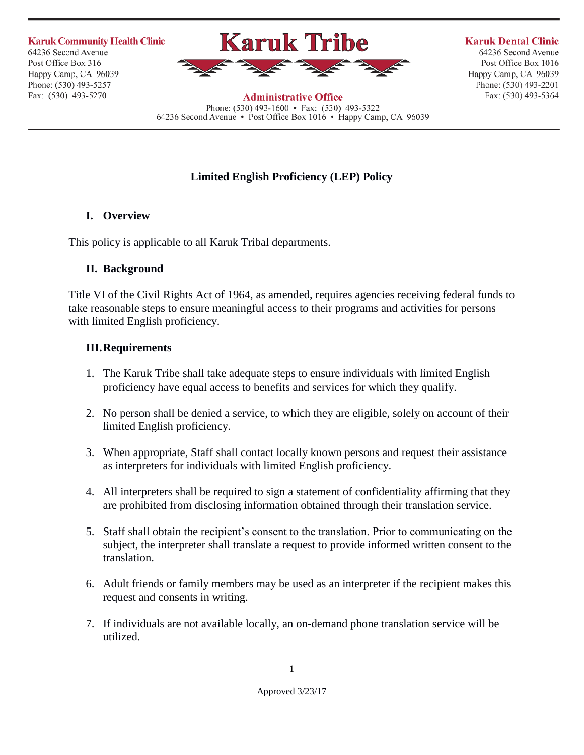**Karuk Community Health Clinic** 64236 Second Avenue Post Office Box 316 Happy Camp, CA 96039 Phone: (530) 493-5257 Fax: (530) 493-5270



**Karuk Dental Clinic** 

64236 Second Avenue Post Office Box 1016 Happy Camp, CA 96039 Phone: (530) 493-2201 Fax: (530) 493-5364

**Administrative Office** Phone:  $(530)$  493-1600 • Fax:  $(530)$  493-5322 64236 Second Avenue • Post Office Box 1016 • Happy Camp, CA 96039

## **Limited English Proficiency (LEP) Policy**

## **I. Overview**

This policy is applicable to all Karuk Tribal departments.

## **II. Background**

Title VI of the Civil Rights Act of 1964, as amended, requires agencies receiving federal funds to take reasonable steps to ensure meaningful access to their programs and activities for persons with limited English proficiency.

## **III.Requirements**

- 1. The Karuk Tribe shall take adequate steps to ensure individuals with limited English proficiency have equal access to benefits and services for which they qualify.
- 2. No person shall be denied a service, to which they are eligible, solely on account of their limited English proficiency.
- 3. When appropriate, Staff shall contact locally known persons and request their assistance as interpreters for individuals with limited English proficiency.
- 4. All interpreters shall be required to sign a statement of confidentiality affirming that they are prohibited from disclosing information obtained through their translation service.
- 5. Staff shall obtain the recipient's consent to the translation. Prior to communicating on the subject, the interpreter shall translate a request to provide informed written consent to the translation.
- 6. Adult friends or family members may be used as an interpreter if the recipient makes this request and consents in writing.
- 7. If individuals are not available locally, an on-demand phone translation service will be utilized.